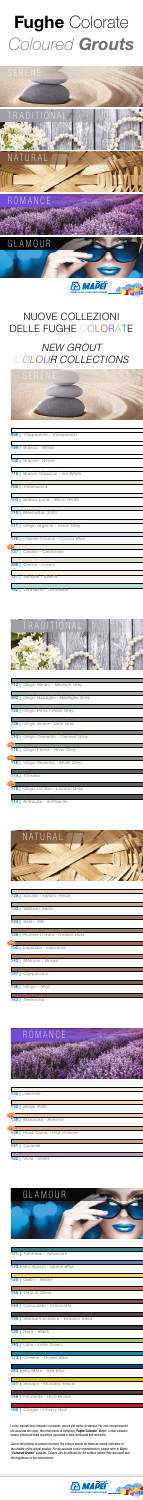I colori esposti sono indicativi e possono variare per motivi di stampa. Per una corrispondenza più accurata dei colori, fare riferimento ai campioni "Fughe Colorate" Mapei. I colori possono essere influenzati dalla superficie accostata e dalla luminosità dell'ambiente.

*Due to the printing processes involved, the colours should be taken as merely indicative of the shades of the actual product. For an accurate colour representation, please refer to Mapei "*Coloured Grouts*" samples. Colours can be affected by the surface (where they are used) and the brightness of the environment.*







# GLAMOUR

# **& MAPEI**

999 | Trasparente - *Transparent*

#### <u> 1989 - Johann Barnett, mars et al. 1989 - Anna ann an t-</u> 146 | Fondente - *Rich Brown*

182 | Tormalina - *Tormaline*

# Fughe Colorate Coloured *Grouts*





| 100   Bianco - White               |
|------------------------------------|
|                                    |
| 710   Bianco Ghiaccio - Ice White  |
|                                    |
| 700   Translucent                  |
|                                    |
| 103   Bianco Luna - Moon White     |
|                                    |
| <b>110</b>   Manhattan 2000        |
|                                    |
| 111   Grigio Argento - Silver Grey |
|                                    |
| 170   Celeste Crocus - Crocus Blue |
| new)                               |
| 137   Caraibi - Caribbean          |
|                                    |
| 290   Crema - Cream                |
|                                    |
| 131   Vaniglia - Vanilla           |
|                                    |



|       | 112   Grigio Medio - Medium Grey        |
|-------|-----------------------------------------|
|       |                                         |
|       | 282   Grigio Bardiglio - Bardiglio Grey |
|       |                                         |
|       | 720   Grigio Perla - Pearl Grey         |
|       |                                         |
|       | 728   Grigio Scuro - Dark Grey          |
|       |                                         |
|       | <b>113</b> Grigio Cemento - Cement Grey |
| (new) |                                         |
|       | 115   Grigio Fiume - River Grey         |
| (new) |                                         |
|       | 116   Grigio Muschio - Musk Grey        |
|       |                                         |
|       | 174   Tornado                           |
| (new) |                                         |
|       | 119   Grigio Londra - London Grey       |
|       |                                         |



|       | 133   Sabbia - Sand                       |
|-------|-------------------------------------------|
|       | $134$ Seta - Silk                         |
|       | <b>135</b>   Polvere Dorata - Golden Dust |
| (new) | 152   Liquirizia - Liquorice              |
|       |                                           |
|       | 142   Marrone - Brown                     |
|       | 147   Cappuccino                          |
|       | $136$ Fango - Mud                         |
| 143   | Terracotta                                |

151 | Senape - *Mustard Yellow*

| <b>171</b> Turchese - Turquoise                   |
|---------------------------------------------------|
|                                                   |
| <b>172</b>   Blu Spazio - Space Blue              |
|                                                   |
| <b>150</b> Giallo - Yellow                        |
|                                                   |
| <b>145</b> Terra di Siena                         |
|                                                   |
| 144   Cioccolato - Chocolate                      |
|                                                   |
| <b>149</b> Sabbia Vulcanica - <i>Volcano Sand</i> |
|                                                   |
| 120 Nero - Black                                  |
|                                                   |
| 183   Lime - Lime Green                           |
|                                                   |
| <b>173</b>   Oceano - Ocean Blue                  |

| 130 Jasmine                     |
|---------------------------------|
|                                 |
| <b>132</b> Beige 2000           |
| new                             |
| 138   Mandorla - Almond         |
| new)                            |
| 139   Rosa Cipria - Pink Powder |
|                                 |
| 141   Caramel                   |
|                                 |
| Viola - Violet<br>162           |

### 165 | Ciliegia - *Cherry Red*

### 283 | Blu Mare - *Sea Blue*

I



# NUOVE COLLEZIONI DELLE FUGHE COLORATE

# *NEW GROUT COLOUR COLLECTIONS*